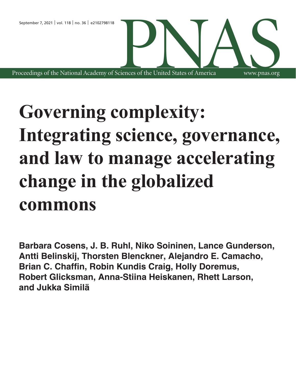Proceedings of the National Academy of Sciences of the United States of America CIENCES OF the United States of America WWW.pnas.org

# **Governing complexity: Integrating science, governance, and law to manage accelerating change in the globalized commons**

www.pnas.org

**Barbara Cosens, J. B. Ruhl, Niko Soininen, Lance Gunderson, Antti Belinskij, Thorsten Blenckner, Alejandro E. Camacho, Brian C. Chaffin, Robin Kundis Craig, Holly Doremus, Robert Glicksman, Anna-Stiina Heiskanen, Rhett Larson, and Jukka Similä**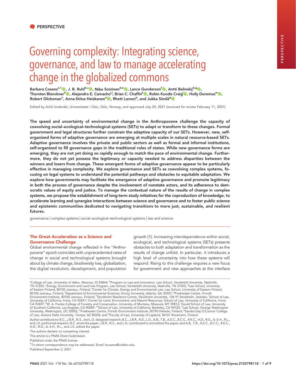## Governing complexity: Integrating science, governance, and law to manage accelerating change in the globalized commons

Barbara Cosens<sup>a,1</sup> (D. J. B. Ruhl<sup>b,c</sup> C. Niko Soininen<sup>d,e</sup> C. Lance Gunderson<sup>f</sup> C. Antti Belinskij<sup>d,g</sup> C. Thorsten Blenckner<sup>h</sup>©, Alejandro E. Camacho<sup>i,j</sup>, Brian C. Chaffin<sup>k</sup>©, Robin Kundis Craig<sup>l</sup>©, Holly Doremus<sup>m</sup>©, Robert Glicksman<sup>n</sup>, Anna-Stiina Heiskanen°<mark>®</mark>, Rhett Larson<sup>p</sup>, and Jukka Similä<sup>q</sup>®

Edited by Arild Underdal, Universitetet i Oslo, Oslo, Norway, and approved July 20, 2021 (received for review February 11, 2021)

The speed and uncertainty of environmental change in the Anthropocene challenge the capacity of coevolving social–ecological–technological systems (SETs) to adapt or transform to these changes. Formal government and legal structures further constrain the adaptive capacity of our SETs. However, new, selforganized forms of adaptive governance are emerging at multiple scales in natural resource-based SETs. Adaptive governance involves the private and public sectors as well as formal and informal institutions, self-organized to fill governance gaps in the traditional roles of states. While new governance forms are emerging, they are not yet doing so rapidly enough to match the pace of environmental change. Furthermore, they do not yet possess the legitimacy or capacity needed to address disparities between the winners and losers from change. These emergent forms of adaptive governance appear to be particularly effective in managing complexity. We explore governance and SETs as coevolving complex systems, focusing on legal systems to understand the potential pathways and obstacles to equitable adaptation. We explore how governments may facilitate the emergence of adaptive governance and promote legitimacy in both the process of governance despite the involvement of nonstate actors, and its adherence to democratic values of equity and justice. To manage the contextual nature of the results of change in complex systems, we propose the establishment of long-term study initiatives for the coproduction of knowledge, to accelerate learning and synergize interactions between science and governance and to foster public science and epistemic communities dedicated to navigating transitions to more just, sustainable, and resilient futures.

governance | complex systems | social–ecological–technological systems | law and science

#### The Great Acceleration as a Science and Governance Challenge

Global environmental change reflected in the "Anthropocene" epoch coincides with unprecedented rates of change in social and technological systems brought about by climate change, biodiversity loss, globalization, the digital revolution, development, and population

growth (1). Increasing interdependence within social, ecological, and technological systems (SETs) presents obstacles to both adaptation and transformation as the results of change unfold. In particular, it introduces a high level of uncertainty into how these systems will respond. Rising to this challenge requires a new focus for government and new approaches at the interface

The authors declare no competing interest.

<sup>&</sup>lt;sup>a</sup>College of Law, University of Idaho, Moscow, ID 83844; <sup>b</sup>Program on Law and Innovation, Law School, Vanderbilt University, Nashville, TN 37203; <sup>c</sup>Energy, Environment and Land Use Program, Law School, Vanderbilt University, Nashville, TN 37203; <sup>d</sup>Law School, University of Eastern Finland, 80100 Joensuu, Finland; <sup>e</sup>Center for Climate, Energy and Environmental Law, Law School, University of Eastern Finland,<br>80100 Joensuu, Finland; <sup>f</sup>Department of Environmental Sciences, Emory University, University of California, Irvine, CA 92697; Center for Land, Environment, and Natural Resources, School of Law, University of California, Irvine, CA 92697; <sup>k</sup>W. A. Franke College of Forestry and Conservation, University of Montana, Missoula, MT 59812; <sup>I</sup>Gould School of Law, University<br>of Southern California, Los Angeles, CA 90089; "School of Law, University of Cal University, Washington, DC 20052; °Freshwater Centre, Finnish Environment Institute, 00790 Helsinki, Finland; <sup>p</sup>Sandra Day O'Connor College of Law, Arizona State University, Tempe, AZ 85004; and <sup>q</sup>Faculty of Law, University of Lapland, 96101 Rovaniemi, Finland

Author contributions: B.C., J.B.R., N.S., and L.G. designed research; B.C., J.B.R., N.S., L.G., A.B., T.B., A.E.C., B.C.C., R.K.C., H.D., R.G., A.-S.H., R.L., and J.S. performed research; B.C. wrote the paper; J.B.R., N.S., and L.G. contributed to and edited the paper; and A.B., T.B., A.E.C., B.C.C., R.K.C., H.D., R.G., A.-S.H., R.L., and J.S. edited the paper.

This article is a PNAS Direct Submission.

Published under the PNAS license.

<sup>&</sup>lt;sup>1</sup>To whom correspondence may be addressed. Email: bcosens@uidaho.edu.

Published September 2, 2021.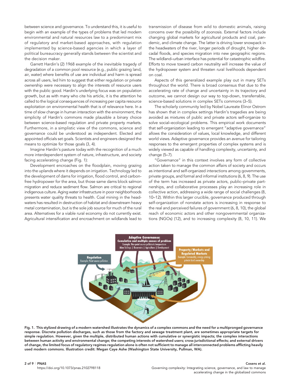between science and governance. To understand this, it is useful to begin with an example of the types of problems that led modern environmental and natural resources law to a predominant mix of regulatory and market-based approaches, with regulation implemented by science-based agencies in which a layer of political bureaucracy generally stands between the scientist and the decision maker.

Garrett Hardin's (2) 1968 example of the inevitable tragedy of degradation of a common pool resource (e.g., public grazing land, air, water) where benefits of use are individual and harm is spread across all users, led him to suggest that either regulation or private ownership were necessary to align the interests of resource users with the public good. Hardin's underlying focus was on population growth, but as with many who cite his article, it is the attention he called to the logical consequences of increasing per capita resource exploitation on environmental health that is of relevance here. In a time of slow change in human interaction with the environment, the simplicity of Hardin's commons made plausible a binary choice between science-based regulation and private property markets. Furthermore, in a simplistic view of the commons, science and governance could be understood as independent. Elected and appointed officials set goals. Scientists and engineers designed the means to optimize for those goals (3, 4).

Imagine Hardin's pasture today with the recognition of a much more interdependent system of nature, infrastructure, and society facing accelerating change (Fig. 1):

Development encroaches on the floodplain, moving grazing into the uplands where it depends on irrigation. Technology led to the development of dams for irrigation, flood control, and carbonfree hydropower for the area, but those same dams block salmon migration and reduce sediment flow. Salmon are critical to regional indigenous culture. Aging water infrastructure in poor neighborhoods presents water quality threats to health. Coal mining in the headwaters has resulted in destruction of habitat and downstream heavy metal contamination, but is the sole job source for much of the rural area. Alternatives for a viable rural economy do not currently exist. Agricultural intensification and encroachment on wildlands lead to

transmission of disease from wild to domestic animals, raising concerns over the possibility of zoonosis. External factors include changing global markets for agricultural products and coal, pandemic, and climate change. The latter is driving lower snowpack in the headwaters of the river, longer periods of drought, higher decadal floods, and species migration into new geographic regions. The wildland–urban interface has potential for catastrophic wildfire. Efforts to move toward carbon neutrality will increase the value of the hydropower system and threaten rural livelihoods dependent on coal.

Aspects of this generalized example play out in many SETs throughout the world. There is broad consensus that due to the accelerating rate of change and uncertainty in its trajectory and outcome, we cannot design our way to top-down, transferrable, science-based solutions in complex SETs commons (3–5).

The scholarly community led by Nobel Laureate Elinor Ostrom has shown that in complex settings Hardin's tragedies are being avoided as mixtures of public and private actors self-organize to solve social–ecological problems. This empirical work documents that self-organization leading to emergent "adaptive governance" allows the consideration of values, local knowledge, and different world views. Adaptive governance provides an avenue for tailoring responses to the emergent properties of complex systems and is widely viewed as capable of handling complexity, uncertainty, and change (5–7).

"Governance" in this context involves any form of collective action taken to manage the common affairs of society and occurs as intentional and self-organized interactions among governments, private groups, and formal and informal institutions (6, 8, 9). The use of the term has increased as private actors, public–private partnerships, and collaborative processes play an increasing role in collective action, addressing a wide range of social challenges (8, 10–12). Within this larger crucible, governance produced through self-organization of nonstate actors is increasing in response to the real and perceived failures of government (6, 8, 10), the global reach of economic actors and other nongovernmental organizations (NGOs) (12), and to increasing complexity (8, 10, 11). We



Fig. 1. This stylized drawing of a modern watershed illustrates the dynamics of a complex commons and the need for a multipronged governance response. Discrete pollution discharges, such as those from the factory and sewage treatment plant, are sometimes appropriate targets for simple regulation. However, given the multiple, distributed human actions with cumulative or synergistic impacts; the complex interactions between human activity and environmental change; the competing interests of watershed users; cross-jurisdictional effects; and external drivers of change, the limited focus of regulatory regimes regulation alone is often not sufficient to manage all interconnected problems afflicting heavily used modern commons. Illustration credit: Megan Caye Ashe (Washington State University, Pullman, WA).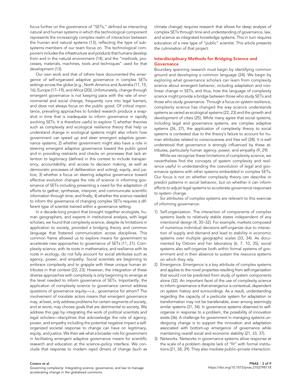focus further on the governance of "SETs," defined as interacting natural and human systems in which the technological component represents the increasingly complex realm of interaction between the human and natural systems (13), reflecting the type of subsystems members of our team focus on. The technological component includes the infrastructure and products that humans develop from and in the natural environment (14), and the "methods, processes, materials, machines, tools and techniques" used for that development (13).

Our own work and that of others have documented the emergence of self-organized adaptive governance in complex SETs settings across the globe [e.g., North America and Australia (11, 15, 16), Europe (17–19), and Africa (20)]. Unfortunately, change through emergent governance is not keeping pace with the rate of environmental and social change, frequently runs into legal barriers, and does not always focus on the public good. Of critical importance, prevailing approaches to funded research produce a snapshot in time that is inadequate to inform governance in rapidly evolving SETs. It is therefore useful to explore 1) whether theories such as complexity and ecological resilience theory that help us understand change in ecological systems might also inform how government can speed up and steer emergent adaptive governance systems; 2) whether government might also have a role in steering emergent adaptive governance toward the public good and in providing restraints and checks on processes that lack attention to legitimacy (defined in this context to include transparency, accountability, and access to decision making, as well as democratic processes of deliberation and voting), equity, and justice; 3) whether a focus on steering adaptive governance toward effective evolution changes the role of science in informing governance of SETs including presenting a need for the adaptation of efforts to gather, synthesize, interpret, and communicate scientific information through time; and finally, 4) whether the science needed to inform the governance of changing complex SETs requires a different type of scientist trained within a governance setting.

In a decade-long project that brought together ecologists, human geographers, and experts in institutional analysis, with legal scholars, we found that complexity science, despite its limitations in application to society, provided a bridging theory and common language that fostered communication across disciplines. This common frame allowed us to explore means for government to accelerate new approaches to governance of SETs (11, 21). Complexity science, with its roots in mathematics, and resilience with its roots in ecology, do not fully account for social attributes such as agency, power, and empathy. Social scientists are beginning to embrace complexity and to grapple with these unique human attributes in that context (22, 23). However, the integration of these diverse approaches with complexity is only beginning to emerge at the level needed to inform governance of SETs. Importantly, the application of complexity science to governance cannot address questions of governance equity—i.e., governance for whom? The involvement of nonstate actors means that emergent governance may, at best, only address problems for certain segments of society, and at worst, may choose goals that are detrimental to society. We address this gap by integrating the work of political scientists and legal scholars—disciplines that acknowledge the role of agency, power, and empathy including the potential negative impact a selforganized societal response to change can have on legitimacy, equity, and justice. We then ask what a broader role for government in facilitating emergent adaptive governance means for scientific research and education at the science–policy interface. We conclude that response to modern rapid drivers of change (such as climate change) requires research that allows for deep analysis of complex SETs through time and understanding of governance, law, and science as integrated knowledge systems. This in turn requires education of a new type of "public" scientist. This article presents the culmination of that project.

### Interdisciplinary Methods for Bridging Science and **Governance**

Boundary spanning research must begin by identifying common ground and developing a common language (24). We begin by exploring what governance scholars can learn from complexity science about emergent behavior, including adaptation and nonlinear change in SETs, and thus, how the language of complexity science might provide a bridge between those who study SETs and those who study governance. Through a focus on system resilience, complexity science has changed the way science understands systems as varied as ecological systems (22, 23) and the growth and development of cities (25). While many agree that social systems, including legal and governance systems, are complex adaptive systems (26, 27), the application of complexity theory to social systems is contested due to the theory's failure to account for human attributes related to consciousness and free will (28). It is well understood that governance is strongly influenced by these attributes, particularly human agency, power, and empathy (9, 29).

While we recognize these limitations of complexity science, we nevertheless find the concepts of system complexity and resilience useful in understanding the coevolution of legal and governance systems with other systems embedded in complex SETs. Our focus is not on whether complexity theory can describe or predict patterns in social behavior, but on whether it can inform efforts to adjust legal systems to accelerate governance responses to system change.

Six attributes of complex systems are relevant to this exercise of informing governance:

- 1) Self-organization. The interaction of components of complex systems leads to relatively stable states independent of any intentional design (4, 30–32). For example, markets composed of numerous individual decisions self-organize due to interaction of supply and demand and lead to stability in economic systems over multiple geographic scales (33, 34). As documented by Ostrom and her laboratory (6, 7, 10, 35), social systems also self-organize both within formal systems of government and in their absence to sustain the resource systems on which they rely.
- 2) Emergence. Emergence is a key attribute of complex systems and applies to the novel properties resulting from self-organization that would not be predicted from study of system components alone (32). An important facet of the use of complexity science to inform governance is that emergence is contextual, dependent on system history and surroundings. As a result, understanding regarding the capacity of a particular system for adaptation or transformation may not be transferrable, even among seemingly similar systems (31, 34). In governance systems observed to selforganize in response to a problem, the possibility of innovation exists (36). A challenge for government in managing systems undergoing change is to support the innovation and adaptation associated with bottom-up emergence of governance while maintaining overall social and economic stability (21, 33, 37).
- 3) Networks. Networks in governance systems allow response at the scale of a problem despite lack of "fit" with formal institutions (21, 38, 39). They also mediate public–private interaction.

Governing complexity: Integrating science, governance, and law to manage accelerating change in the globalized commons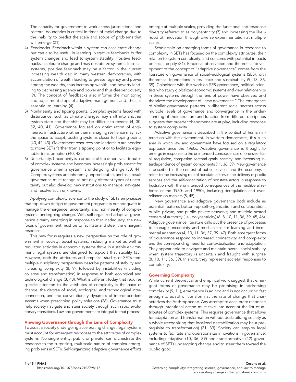The capacity for government to work across jurisdictional and sectoral boundaries is critical in times of rapid change due to the inability to predict the scale and scope of problems that will emerge (21).

- 4) Feedbacks. Feedback within a system can accelerate change but can also be useful in learning. Negative feedbacks buffer system changes and lead to system stability. Positive feedbacks accelerate change and may destabilize systems. In social systems, positive feedback may be a factor in the current increasing wealth gap in many western democracies, with accumulation of wealth leading to greater agency and power among the wealthy, thus increasing wealth, and poverty leading to decreasing agency and power and thus deeper poverty (9). The concept of feedbacks also informs the monitoring and adjustment steps of adaptive management and, thus, is essential to learning (4).
- 5) Nonlinearity and tipping points. Complex systems faced with disturbance, such as climate change, may shift into another system state and that shift may be difficult to reverse (4, 30, 32, 40, 41). Governance focused on optimization of engineered infrastructure rather than managing resilience may lack the space to adapt, pushing systems closer to tipping points (40, 42, 43). Government resources and leadership are needed to move SETs farther from a tipping point or to facilitate equitable transformation (40, 42).
- 6) Uncertainty. Uncertainty is a product of the other five attributes of complex systems and becomes increasingly problematic for governance when a system is undergoing change (30, 44). Complex systems are inherently unpredictable, and as a result governance must recognize not only different types of uncertainty but also develop new institutions to manage, navigate, and resolve such unknowns.

Applying complexity science to the study of SETs emphasizes that top-down design of government programs is not adequate to manage the emergence, uncertainty, and nonlinearity of complex systems undergoing change. With self-organized adaptive governance already emerging in response to that inadequacy, the new focus of government must be to facilitate and steer the emergent response.

This new focus requires a new perspective on the role of government in society. Social systems, including market as well as regulated activities in economic systems thrive in a stable environment; legal systems are designed to support that stability (33). However, both the attributes and empirical studies of SETs from multiple disciplinary perspectives describe patterns of stability and increasing complexity (8, 9), followed by instabilities (including collapse and transformation) in response to both ecological and technological change (8, 43). What is different today that requires specific attention to the attributes of complexity is the pace of change, the degree of social, ecological, and technological interconnection, and the coevolutionary dynamics of interdependent systems when prescribing policy solutions (26). Governance must help society navigate and steer society through such rapid evolutionary transitions. Law and government are integral to that process.

#### Viewing Governance through the Lens of Complexity

To assist a society undergoing accelerating change, legal systems must account for emergent responses to the attributes of complex systems. No single entity, public or private, can orchestrate the response to the surprising, multiscale nature of complex emerging problems in SETs. Self-organizing adaptive governance efforts emerge at multiple scales, providing the functional and response diversity referred to as polycentricity (7) and increasing the likelihood of innovation through diverse experimentation at multiple scales.

Scholarship on emerging forms of governance in response to complexity in SETs has focused on the complexity attributes, their relation to system complexity, and concerns with potential impacts on social equity (21). Empirical observation and theoretical development of the concept of "adaptive governance" comes from the literature on governance of social–ecological systems (SES), with theoretical foundations in resilience and sustainability (9, 13, 36, 39). Coincident with this work on SES governance, political scientists who study globalized economic systems and view relationships in these systems through the lens of power have observed and theorized the development of "new governance." The emergence of similar governance patterns in different social sectors across multiple levels of governance and convergence in the understanding of their structure and function from different disciplines suggests that broader phenomena are at play, including response to system complexity.

Adaptive governance is described in the context of human interaction with the environment. In western democracies, this is an area in which law and government have focused on a regulatory approach since the 1960s. Adaptive governance is thought to emerge in response to the unintended consequences of one-size-fitsall regulation, competing sectoral goals, scarcity, and increasing interdependence of system components (11, 36, 39). New governance is described in the context of public services and the economy. It refers to the increasing role of nonstate actors in the delivery of public services and the self-organization of nonstate actors in response to frustration with the unintended consequences of the neoliberal reforms of the 1980s and 1990s, including deregulation and overreliance on markets (8, 45).

New governance and adaptive governance both include as essential features bottom-up self-organization and collaboration; public, private, and public–private networks; and multiple nested centers of authority (i.e., polycentricity) (6, 8, 10, 11, 36, 39, 45, 46). Adaptive governance literature calls out the presence of processes to manage uncertainty and mechanisms for learning and incremental adaptation (4, 10, 11, 36, 37, 39, 47). Both emergent forms of governance respond to increased connectivity and complexity and the corresponding need for contextualization and adaptation. They appear able to navigate and maintain overall social stability when system trajectory is uncertain and fraught with surprise (8, 10, 11, 36, 39). In short, they represent societal responses to complexity.

#### Governing Complexity

While current theoretical and empirical work suggest that emergent forms of governance may be promising in addressing complexity (9, 11), emergence is ad hoc and is not occurring fast enough to adapt or transform at the rate of change that characterizes the Anthropocene. Any attempt to accelerate response through intentional action must take into account the list of attributes of complex systems. This requires governance that allows for adaptation and transformation without destabilizing society as a whole (recognizing that localized destabilization may be a prerequisite to transformation) (21, 33). Society can employ legal systems to facilitate and operationalize innovations in governance, including adaptive (10, 36, 39) and transformative (42) governance of SETs undergoing change and to steer them toward the public good.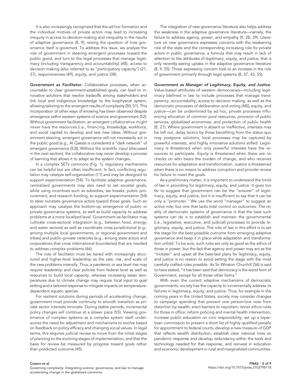It is also increasingly recognized that the ad hoc formation and the individual motives of private actors may lead to increasing inequity in access to decision-making and inequality in the results of adaptive governance (8, 9), raising the question of how governance itself is governed. To address this issue, we analyze the role of government in steering emergent processes toward the public good, and turn to the legal processes that manage legitimacy (including transparency and accountability) (48), access to decision making (also referred to as "participatory capacity") (21, 37), responsiveness (49), equity, and justice (38).

Government as Facilitator. Collaborative processes, when accountable to clear government-established goals, can lead to innovative solutions that resolve tradeoffs among stakeholders and link local and indigenous knowledge to the biophysical system, allowing tailoring to the emergent results of complexity (50, 51). This incorporation of other ways of knowing has been observed despite emergence within western systems of science and government (52). Without government facilitation, an emergent collaborative might never have the resources (i.e., financing, knowledge, workforce, and social capital) to develop and test new ideas. Without government steering, emergent governance will not necessarily act in the public good [e.g., Al Qaeda is considered a "dark network" of emergent governance (53)]. Without the scientific input (discussed in the next section), the collaborative may never develop a process of learning that allows it to adapt as the system changes.

In a complex SETs commons (Fig. 1), regulatory mechanisms can be helpful but are often insufficient. In fact, conflicting regulation may catalyze self-organization (11) and may be designed to support experimentation (54). To facilitate adaptive governance, centralized governments may also need to set societal goals, while using incentives such as subsidies, tax breaks, public procurement, and research funding, to support experimentation (54) to steer nonstate governance actors toward those goals. Such an approach may catalyze the bottom-up emergence of public or private governance systems, as well as build capacity to address problems at a more localized level. Government-as-facilitator may cultivate cross-sectoral integration (e.g., between food, energy, and water sectors) as well as coordinate cross-jurisdictional (e.g., among multiple local governments, or regional government and tribes) and public–private networks (e.g., among state actors and corporations that cross international boundaries) that are needed to address complex problems (46).

The role of facilitator must be tiered with increasingly structured and higher-level leadership as the rate, risk, and scale of the new problems intensify. Thus, a pandemic or sea level rise may require leadership and clear policies from federal level as well as resources to build local capacity, whereas increasing water temperatures due to climate change may require local input to goal setting and a tailored response to mitigate impacts on temperaturedependent aquatic species.

For resilient solutions during periods of accelerating change, government must provide continuity to smooth transition as private sector interests innovate. During stable periods, incremental policy changes will continue at a slower pace (55). Viewing governance of complex systems as a complex system itself underscores the need for adjustment and mechanisms to evolve based on feedback on policy efficacy and changing social values. In legal terms, this requires judicial review to move from the initial stages of planning to the evolving stages of implementation, and that the basis for review be measured by progress toward goals rather than predicted outcome (45).

The integration of new governance literature also helps address the weakness in the adaptive governance literature—namely, the failure to address agency, power, and empathy (9, 28, 29). Literature on new governance expresses concerns with the weakening role of the state and the corresponding increasing role for private actors in public governance, a formula that may result in lack of attention to the attributes of legitimacy, equity, and justice, that is only recently seeing uptake in the adaptive governance literature (8, 9, 55). Those expressing concern look to an increase in the role of government primarily through legal systems (8, 37, 43, 55).

Government as Manager of Legitimacy, Equity, and Justice. Value-based attributes of western democracies-including legitimacy [defined in law to include processes that manage transparency, accountability, access to decision making, as well as the democratic processes of deliberation and voting (48)], equity, and justice-can be undermined by ad hoc, private processes influencing allocation of common pool resources, provision of public services, globalized economies, and protection of public health (8, 21). Where government is absent or ineffective, interests may be left out, delay tactics by those benefiting from the status quo may postpone solutions, local processes may be captured by powerful interests, and highly innovative solutions stifled. Legitimacy is threatened when only powerful interests have the resources to participate. Equity is threatened when there are no checks on who bears the burden of change, and who receives resources for adaptation and transformation. Justice is threatened when there is no means to address corruption and provide review for failure to meet the goals.

As a preliminary matter, it is important to understand the limits of law in providing for legitimacy, equity, and justice. It goes too far to suggest that government can be the "ensurer" of legitimacy, equity, and justice, but it is insufficient to say that it can be only a "promoter." We use the word "manager" to suggest an active role, but one that lacks total control on outcomes. The reality of democratic systems of governance is that the best such systems can do is to establish and maintain the governmental (i.e., legislative, executive, and judicial) processes to provide legitimacy, equity, and justice. The role of law in this effort is to set the stage for the best possible outcome from emerging adaptive governance and keep it in place while adaptation and transformation unfold. To be sure, such rules are only as good as the ethics of those in power, but the fact that agency and power may act as the "trickster" and upset all the best-laid plans for legitimacy, equity, and justice is no reason to avoid setting the stage with the most carefully crafted rules possible. As Sir Winston Churchill (56) is said to have stated, "it has been said that democracy is the worst form of Government, except for all those other forms."

With even the current adaptive mechanisms of democratic governments, society has the capacity to incrementally address its failures in legitimacy, equity, and justice. Thus, for example in the coming years in the United States, society may consider changes to campaign spending that prevent one person/one vote from distortion by wealth; erect barriers to nepotism; revisit ethics rules for those in office; reform policing and mental health intervention, increase public education on civic responsibility, set up a bipartisan commission to present a short list of highly qualified people for appointment to federal courts, develop a new measure of GDP that reflects wealth distribution, establish clear national lines on pandemic response and develop redundancy within the tools and technology needed for that response; and reinvest in education and economic development in rural and marginalized communities.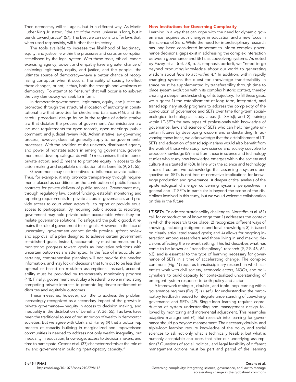Then democracy will fail again, but in a different way. As Martin Luther King Jr. stated, "the arc of the moral universe is long, but it bends toward justice" (57). The best we can do is to offer laws that, when used responsibly, will further that trajectory.

The tools available to increase the likelihood of legitimacy, equity, and justice lie within the processes and curbs on corruption established by the legal system. With these tools, ethical leaders exercising agency, power, and empathy have a greater chance of achieving legitimacy, equity, and justice, and the people—the ultimate source of democracy—have a better chance of recognizing corruption when it occurs. The ability of society to effect these changes, or not, is thus, both the strength and weakness of democracy. To attempt to "ensure" that will occur is to subvert the very democracy we seek to inform.

In democratic governments, legitimacy, equity, and justice are promoted through the structural allocation of authority in constitutional law that provides for checks and balances (46), and the careful procedural design found in the regime of administrative law that dictates the process of government. Administrative law includes requirements for open records, open meetings, public comment, and judicial review (48). Administrative law governing process, however, does not generally apply to nongovernmental processes. With the addition of the unevenly distributed agency and power of nonstate actors in emerging governance, government must develop safeguards with 1) mechanisms that influence private action; and 2) means to promote equity in access to decision making and equitable distribution of its benefits (9, 21, 55).

Government may use incentives to influence private actions. Thus, for example, it may promote transparency through requirements placed as conditions on the contribution of public funds in contracts for private delivery of public services. Government may, through regulatory law, control funding, establish monitoring and reporting requirements for private actors in governance, and provide access to court when actors fail to report or provide equal access to participation. By requiring public access to reporting, government may hold private actors accountable when they formulate governance solutions. To safeguard the public good, it remains the role of government to set goals. However, in the face of uncertainty, government cannot simply provide upfront review and approval of a plan designed to achieve certain government established goals. Instead, accountability must be measured by monitoring progress toward goals as innovative solutions with uncertain outcomes are attempted. In the face of irreducible uncertainty, comprehensive planning will not provide the needed information, and may lock in decisions that turn out to be less than optimal or based on mistaken assumptions. Instead, accountability must be provided by transparently monitoring progress (44). Finally, government must play a leadership role in mediating competing private interests to promote legitimate settlement of disputes and equitable outcomes.

These measures, however, do little to address the problem increasingly recognized as a secondary impact of the growth in private governance—inequity in access to decision making, and inequality in the distribution of benefits (9, 36, 55). Tax laws have been the traditional source of redistribution of wealth in democratic societies. But we agree with Clark and Harley (9) that a bottom-up process of capacity building in marginalized and impoverished communities is needed to address not only wealth inequality, but inequality in education, knowledge, access to decision makers, and time to participate. Cosens et al. (37) characterized this as the role of law and government in building "participatory capacity."

#### New Institutions for Governing Complexity

Learning in a way that can cope with the need for dynamic governance requires both changes in education and a new focus in the science of SETs. While the need for interdisciplinary research has long been considered important to inform complex governance decisions, gaps exist in addressing the complex interaction between governance and SETs as coevolving systems. As noted by Fazey et al. (ref. 58, p. 5, emphasis added), we "need to go beyond producing knowledge about our world to generating wisdom about how to act within it." In addition, within rapidly changing systems the quest for knowledge transferability in space must be supplemented by transferability through time to place system evolution within its complex historic context, thereby creating a deeper understanding of its trajectory. To fill these gaps, we suggest 1) the establishment of long-term, integrated, and transdisciplinary study programs to address the complexity of the coevolution of governance and SETs over time (long-term social– ecological–technological study areas [LT-SETs]); and 2) training within LT-SETs for new types of professionals with knowledge of governance, law, and science of SETs who can help navigate uncertain futures by developing wisdom and understanding. In advancing these ideas, we acknowledge that the establishment of LT-SETs and education of transdisciplinarians would also benefit from the work of those who study how science and society coevolve to produce knowledge (59) and from those in science and technology studies who study how knowledge emerges within the society and culture it is situated in (60). In line with the science and technology studies literature, we acknowledge that assuming a systems perspective on SETs is not free of normative implications for knowledge production and governance. A deeper critical analysis of the epistemological challenge concerning systems perspectives in general and LT-SETs in particular is beyond the scope of the disciplines involved in this study, but we would welcome collaboration on this in the future.

LT-SETs. To address sustainability challenges, Norström et al. (61) call for coproduction of knowledge that 1) addresses the context in which the research takes place; 2) recognizes different ways of knowing, including indigenous and local knowledge; 3) is based on clearly articulated shared goals; and 4) allows for ongoing interaction among researchers and those living in and making decisions affecting the relevant setting. This list describes what has come to be known as "transdisciplinary" research (9, 29, 46, 62, 63), and is essential to the type of learning necessary for governance of SETs in a time of accelerating change. The complex commons (Fig. 1) requires transdisciplinary research in which scientists work with civil society, economic actors, NGOs, and policymakers to build capacity for contextualized understanding of emergent system response to both policy and action.

A framework of single-, double-, and triple-loop learning within governance regimes (Fig. 2) is useful for understanding the participatory feedback needed to integrate understanding of coevolving governance and SETs (49). Single-loop learning requires coproduction of system understanding and management design followed by monitoring and incremental adjustment. This resembles adaptive management (4). But research into learning for governance should go beyond management. The necessary double- and triple-loop learning require knowledge of the policy and social sciences to ask not only what is technically feasible, but what is humanly acceptable and does that alter our underlying assumptions? Questions of social, political, and legal feasibility of different management options must be part and parcel of the learning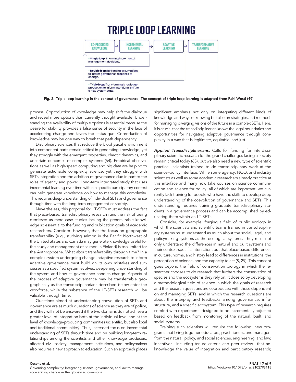### **TRIPLE LOOP LEARNING**



Fig. 2. Triple-loop learning in the context of governance. The concept of triple-loop learning is adapted from Pahl-Wostl (49).

process. Coproduction of knowledge may help shift the dialogue and reveal more options than currently thought available. Understanding the availability of multiple options is essential because the desire for stability provides a false sense of security in the face of accelerating change and favors the status quo. Coproduction of knowledge may be one way to break that path dependency.

Disciplinary sciences that reduce the biophysical environment into component parts remain critical in generating knowledge, yet they struggle with the emergent properties, chaotic dynamics, and uncertain outcomes of complex systems (64). Empirical observations as well as high-speed computing and big data are helping to generate actionable complexity science, yet they struggle with SETs integration and the addition of governance due in part to the roles of agency and power. Long-term integrated study that uses incremental learning over time within a specific participatory context can help generate knowledge on how to manage this complexity. This requires deep understanding of individual SETs and governance through time with the long-term engagement of society.

Nevertheless, this proposal for LT-SETs must address the fact that place-based transdisciplinary research runs the risk of being dismissed as mere case studies lacking the generalizable knowledge so essential to the funding and publication goals of academic researchers. Consider, however, that the focus on geographic transferability (e.g., studying salmon in the Pacific Northwest of the United States and Canada may generate knowledge useful for the study and management of salmon in Finland) is too limited for the Anthropocene. What about transferability through time? In a complex system undergoing change, adaptive research to inform adaptive governance must build on its own mistakes and successes as a specified system evolves, deepening understanding of the system and how its governance handles change. Aspects of the process of adaptive governance may be transferrable geographically as the transdisciplinarians described below enter the workforce, while the substance of the LT-SETs research will be valuable through time.

Questions aimed at understanding coevolution of SETs and governance are as much questions of science as they are of policy, and they will not be answered if the two domains do not achieve a greater level of integration both at the individual level and at the level of knowledge-producing communities (scientific, but also local and traditional communities). Thus, increased focus on incremental understanding of SETs through time and on building long-term relationships among the scientists and other knowledge producers, affected civil society, management institutions, and policymakers also requires a new approach to education. Such an approach places

significant emphasis not only on integrating different kinds of knowledge and ways of knowing but also on strategies and methods for managing diverging visions of the future in a complex SETs. Here, it is crucial that the transdisciplinarian knows the legal boundaries and opportunities for navigating adaptive governance through complexity in a way that is legitimate, equitable, and just.

Applied Transdisciplinarians. Calls for funding for interdisciplinary scientific research for the grand challenges facing a society remain critical today (65), but we also need a new type of scientific practice-scientists trained to do transdisciplinary work at the science–policy interface. While some agency, NGO, and industry scientists as well as some academic researchers already practice at this interface and many now take courses on science communication and science for policy, all of which are important, we currently lack training for people who have the skills to develop deep understanding of the coevolution of governance and SETs. This understanding requires training graduate transdisciplinary students in a governance process and can be accomplished by educating them within an LT-SETs.

Consider, for example, forging a field of public ecology in which the scientists and scientific teams trained in transdisciplinary systems must understand as much about the social, legal, and policymaking systems as the ecological systems. They must not only understand the differences in natural and built systems and their context-specific interaction, but that place-based differences in culture, norms, and history lead to differences in institutions, the perception of science, and the capacity to act (8, 29). This concept goes beyond the field of conservation biology in which the researcher chooses to do research that furthers the conservation of species and the ecosystems they rely on. It does so by developing a methodological field of science in which the goals of research and the research questions are coproduced with those dependent on and managing SETs, and in which the research questions are about the interplay and feedbacks among governance, infrastructure, and a specific ecosystem. This type of research requires comfort with experiments designed to be incrementally adjusted based on feedback from monitoring of the natural, built, and social systems.

Training such scientists will require the following: new programs that bring together educators, practitioners, and managers from the natural, policy, and social sciences, engineering, and law; incentives—including tenure criteria and peer review—that acknowledge the value of integration and participatory research;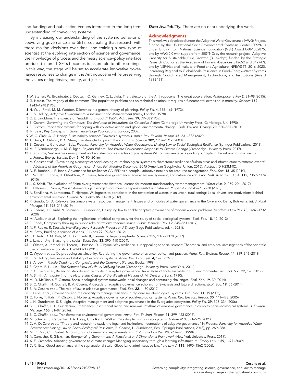and funding and publication venues interested in the long-term understanding of coevolving systems.

By increasing our understanding of the systemic behavior of coevolving governance and SETs, cocreating that research with those making decisions over time, and training a new type of scientist at the evolving intersection of science and governance, the knowledge of process and the messy science–policy interface produced in an LT-SETs becomes transferrable to other settings. In this way, the stage will be set to accelerate innovative governance responses to change in the Anthropocene while preserving the values of legitimacy, equity, and justice.

Data Availability. There are no data underlying this work.

#### Acknowledgments

This work was developed under the Adaptive Water Governance (AWG) Project, funded by the US National Socio-Environmental Synthesis Center (SESYNC) under funding from National Science Foundation (NSF) Award DBI-1052875, and by AWG 2.0 with support from SESYNC; by the research project "Adaptive Capacity for Sustainable Blue Growth" (BlueAdapt) funded by the Strategic Research Council at the Academy of Finland (Decisions 312652 and 312747); and by NSF/National Institute of Food and Agriculture INFEWS T1, 2016–2020, Increasing Regional to Global-Scale Resilience in Food–Energy–Water Systems through Coordinated Management, Technology, and Institutions (Award 1639458).

- 1 W. Steffen, W. Broadgate, L. Deutsch, O. Gaffney, C. Ludwig, The trajectory of the Anthropocene: The great acceleration. Anthropocene Rev 2, 81–98 (2015). 2 G. Hardin, The tragedy of the commons. The population problem has no technical solution; It requires a fundamental extension in morality. Science 162, 1243–1248 (1968).
- 3 H. W. J. Rittel, M. M. Webber, Dilemmas in a general theory of planning. Policy Sci. 4, 155–169 (1973).
- 4 C. S. Holling, Adaptive Environmental Assessment and Management (Wiley, London, 1978).
- 5 C. E. Lindblom, The science of "muddling through." Public Adm. Rev. 19, 79–88 (1959).
- 6 E. Ostrom, Governing the Commons: The Evolution of Institutions for Collective Action (Cambridge University Press, Cambridge, UK, 1990).
- 7 E. Ostrom, Polycentric systems for coping with collective action and global environmental change. Glob. Environ. Change 20, 550–557 (2010).
- 8 M. Bevir, Key Concepts in Governance (Sage Publications, London, 2009).
- 9 W. C. Clark, A. G. Harley, Sustainability science: Towards a synthesis. Annu. Rev. Environ. Resour. 45, 331–386 (2020).
- 10 T. Dietz, E. Ostrom, P. C. Stern, The struggle to govern the commons. Science 302, 1907–1912 (2003).
- 11 B. Cosens, L. Gunderson, Eds., Practical Panarchy for Adaptive Water Governance: Linking Law to Social-Ecological Resilience (Springer Publications, 2018).
- 12 M. P. Vandenbergh, J. M. Gilligan, Beyond Politics: The Private Governance Response to Climate Change (Cambridge University Press, 2017).
- 13 K. Krumme, Sustainable development and social-ecological-technological systems (SETS): Resilience as a guiding principle in the urban-industrial nexus. J. Renew. Energy Sustain. Dev. 2, 70–90 (2016).
- 14 M. Chester et al., "Developing a concept of social-ecological-technological systems to characterize resilience of urban areas and infrastructure to extreme events" in Abstracts of the American Geophysical Union, Fall Meeting December 2015 (American Geophysical Union, 2015), Abstract ID H23M-02.
- 15 D. E. Booher, J. E. Innes, Governance for resilience: CALFED as a complex adaptive network for resource management. Ecol. Soc. 15, 35 (2010).
- 16 L. Schultz, C. Folke, H. Österblom, P. Olsson, Adaptive governance, ecosystem management, and natural capital. Proc. Natl. Acad. Sci. U.S.A. 112, 7369–7374 (2015).
- 17 J. S. Schiff, The evolution of Rhine river governance: Historical lessons for modern transboundary water management. Water Hist. 9, 279–294 (2017).
- 18 L. Halonen, J. Similä, Ympäristösääntely ja itseorganisoituminen tapaus vesistökunnostukset. Ympäristöjuridiikka 1, 7–38 (2020).
- 19 A. Sarvilinna, V. Lehtoranta, T. Hjerppe, Willingness to participate in the restoration of waters in an urban-rural setting: Local drivers and motivations behind environmental behavior. Environ. Sci. Policy 85, 11–18 (2018).
- 20 R. Gondo, O. D. Kolawole, Sustainable water resources management: Issues and principles of water governance in the Okavango Delta, Botswana. Int. J. Rural Manage. 15, 198–217 (2019).
- 21 B. Cosens, J. B. Ruhl, N. Soininen, L. Gunderson, Designing law to enable adaptive governance of modern wicked problems. Vanderbilt Law Rev. 73, 1687-1732 (2020).
- 22 M. Audouin et al., Exploring the implications of critical complexity for the study of social-ecological systems. Ecol. Soc. 18, 12 (2013).
- 23 E. Eppel, Complexity thinking in public administration's theories-in-use. Public Manage. Rev. 19, 845–861 (2017).
- 24 A. F. Repko, R. Szostak, Interdisciplinary Research: Process and Theory (Sage Publications, ed. 4, 2021).
- 25 M. Batty, Building a science of cities. J. Cities 29, S9–S16 (2012).
- 26 J. B. Ruhl, D. M. Katz, M. J. Bommarito II, Harnessing legal complexity. Science 355, 1377–1378 (2017).
- 27 J. Law, J. Urry, Enacting the social. Econ. Soc. 33, 390-410 (2004).
- 28 L. Olsson, A. Jerneck, H. Thoren, J. Persson, D. O'Byrne, Why resilience is unappealing to social science: Theoretical and empirical investigations of the scientific use of resilience. Sci. Adv. 1, e1400217 (2015).
- 29 C. Wyborn et al., Co-producing sustainability: Reordering the governance of science, policy, and practice. Annu. Rev. Environ. Resour. 44, 319-346 (2019).
- 30 C. S. Holling, Resilience and stability of ecological systems. Annu. Rev. Ecol. Syst. 4, 1–23 (1973).
- 31 S. A. Levin, Fragile Dominion: Complexity and the Commons (Perseus Books, 1999).
- 32 F. Capra, P. L. Luisi, The Systems View of Life: A Unifying Vision (Cambridge University Press, New York, 2014).
- 33 R. K. Craig et al., Balancing stability and flexibility in adaptive governance: An analysis of tools available in U.S. environmental law. Ecol. Soc. 22, 1-3 (2017).
- 34 A. Smith, An Inquiry into the Nature and Causes of the Wealth of Nations (J. M. Dent and Sons, 1910).
- 35 M. D. McGinnis, E. Ostrom, Social-ecological system framework: Initial changes and continuing challenges. Ecol. Soc. 19, 30 (2014).
- 36 B. C. Chaffin, H. Gosnell, B. A. Cosens, A decade of adaptive governance scholarship: Synthesis and future directions. Ecol. Soc. 19, 56 (2014).
- 37 B. A. Cosens et al., The role of law in adaptive governance. Ecol. Soc. 22, 1-30 (2017).
- 38 L. Lebel et al., Governance and the capacity to manage resilience in regional social-ecological systems. Ecol. Soc. 11, 19 (2006).
- 39 C. Folke, T. Hahn, P. Olsson, J. Norberg, Adaptive governance of social-ecological systems. Annu. Rev. Environ. Resour. 30, 441-473 (2005).
- 40 L. H. Gunderson, S. S. Light, Adaptive management and adaptive governance in the Everglades ecosystem. Policy Sci. 39, 323-334 (2006).
- 41 B. C. Chaffin, L. H. Gunderson, Emergence, institutionalization and renewal: Rhythms of adaptive governance in complex social-ecological systems. J. Environ. Manage. 165, 81–87 (2016).
- 42 B. C. Chaffin et al., Transformative environmental governance. Annu. Rev. Environ. Resour. 41, 399–423 (2016).
- 43 M. Scheffer, S. Carpenter, J. A. Foley, C. Folke, B. Walker, Catastrophic shifts in ecosystems. Nature 413, 591–596 (2001).
- 44 D. A. DeCaro et al., "Theory and research to study the legal and institutional foundations of adaptive governance" in Practical Panarchy for Adaptive Water
- Governance: Linking Law to Social-Ecological Resilience, B. Cosens, L. Gunderson, Eds. (Springer Publications, 2018), pp. 269–288.
- 45 M. C. Dorf, C. F. Sabel, A constitution of democratic experimentalism. Columbia Law Rev. 98, 267-473 (1998).
- 46 A. Camacho, R. Glicksman, Reorganizing Government: A Functional and Dimensional Framework (New York University Press, 2019).
- 47 A. E. Camacho, Adapting governance to climate change: Managing uncertainty through a learning infrastructure. Emory Law J. 59, 1-77 (2009).
- 48 D. C. Esty, Good governance at the supranational scale: Globalizing administrative law. Yale Law J. 115, 1490–1562 (2006).